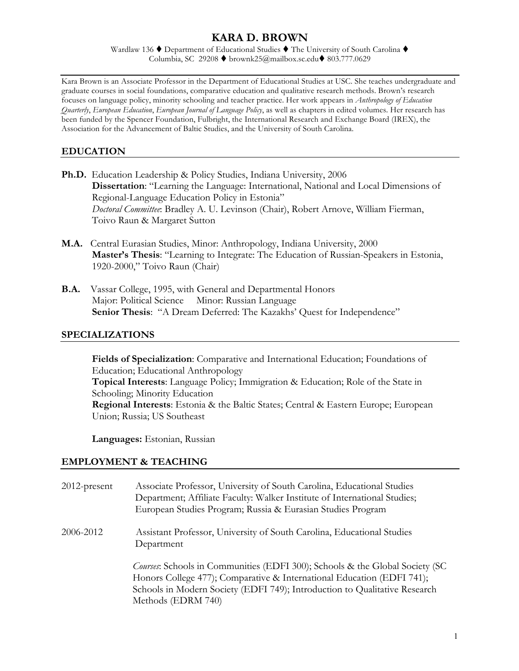# **KARA D. BROWN**

Wardlaw 136  $\blacklozenge$  Department of Educational Studies  $\blacklozenge$  The University of South Carolina  $\blacklozenge$ Columbia, SC 29208  $\blacklozenge$  brownk25@mailbox.sc.edu $\blacklozenge$  803.777.0629

Kara Brown is an Associate Professor in the Department of Educational Studies at USC. She teaches undergraduate and graduate courses in social foundations, comparative education and qualitative research methods. Brown's research focuses on language policy, minority schooling and teacher practice. Her work appears in *Anthropology of Education Quarterly*, *European Education*, *European Journal of Language Policy*, as well as chapters in edited volumes. Her research has been funded by the Spencer Foundation, Fulbright, the International Research and Exchange Board (IREX), the Association for the Advancement of Baltic Studies, and the University of South Carolina.

#### **EDUCATION**

- **Ph.D.** Education Leadership & Policy Studies, Indiana University, 2006  **Dissertation**: "Learning the Language: International, National and Local Dimensions of Regional-Language Education Policy in Estonia" *Doctoral Committee*: Bradley A. U. Levinson (Chair), Robert Arnove, William Fierman, Toivo Raun & Margaret Sutton
- **M.A.** Central Eurasian Studies, Minor: Anthropology, Indiana University, 2000 **Master's Thesis**: "Learning to Integrate: The Education of Russian-Speakers in Estonia, 1920-2000," Toivo Raun (Chair)
- **B.A.** Vassar College, 1995, with General and Departmental Honors Major: Political Science Minor: Russian Language **Senior Thesis**: "A Dream Deferred: The Kazakhs' Quest for Independence"

#### **SPECIALIZATIONS**

 **Fields of Specialization**: Comparative and International Education; Foundations of Education; Educational Anthropology **Topical Interests**: Language Policy; Immigration & Education; Role of the State in Schooling; Minority Education **Regional Interests**: Estonia & the Baltic States; Central & Eastern Europe; European Union; Russia; US Southeast

**Languages:** Estonian, Russian

#### **EMPLOYMENT & TEACHING**

| $2012$ -present | Associate Professor, University of South Carolina, Educational Studies<br>Department; Affiliate Faculty: Walker Institute of International Studies;<br>European Studies Program; Russia & Eurasian Studies Program                                         |
|-----------------|------------------------------------------------------------------------------------------------------------------------------------------------------------------------------------------------------------------------------------------------------------|
| 2006-2012       | Assistant Professor, University of South Carolina, Educational Studies<br>Department                                                                                                                                                                       |
|                 | Courses: Schools in Communities (EDFI 300); Schools & the Global Society (SC<br>Honors College 477); Comparative & International Education (EDFI 741);<br>Schools in Modern Society (EDFI 749); Introduction to Qualitative Research<br>Methods (EDRM 740) |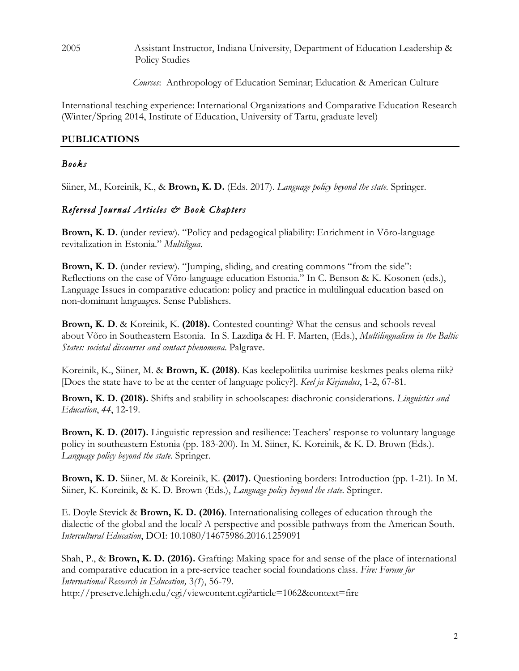2005 Assistant Instructor, Indiana University, Department of Education Leadership & Policy Studies

*Courses*: Anthropology of Education Seminar; Education & American Culture

International teaching experience: International Organizations and Comparative Education Research (Winter/Spring 2014, Institute of Education, University of Tartu, graduate level)

#### **PUBLICATIONS**

#### *Books*

Siiner, M., Koreinik, K., & **Brown, K. D.** (Eds. 2017). *Language policy beyond the state.* Springer.

### *Refereed Journal Articles & Book Chapters*

**Brown, K. D.** (under review). "Policy and pedagogical pliability: Enrichment in Võro-language revitalization in Estonia." *Multiligua*.

Brown, K. D. (under review). "Jumping, sliding, and creating commons "from the side": Reflections on the case of Võro-language education Estonia." In C. Benson & K. Kosonen (eds.), Language Issues in comparative education: policy and practice in multilingual education based on non-dominant languages. Sense Publishers.

**Brown, K. D**. & Koreinik, K. **(2018).** Contested counting? What the census and schools reveal about Võro in Southeastern Estonia. In S. Lazdiņa & H. F. Marten, (Eds.), *Multilingualism in the Baltic States: societal discourses and contact phenomena*. Palgrave.

Koreinik, K., Siiner, M. & **Brown, K. (2018)**. Kas keelepoliitika uurimise keskmes peaks olema riik? [Does the state have to be at the center of language policy?]. *Keel ja Kirjandus*, 1-2, 67-81.

**Brown, K. D. (2018).** Shifts and stability in schoolscapes: diachronic considerations. *Linguistics and Education*, *44*, 12-19.

**Brown, K. D. (2017).** Linguistic repression and resilience: Teachers' response to voluntary language policy in southeastern Estonia (pp. 183-200). In M. Siiner, K. Koreinik, & K. D. Brown (Eds.). *Language policy beyond the state.* Springer.

**Brown, K. D.** Siiner, M. & Koreinik, K. **(2017).** Questioning borders: Introduction (pp. 1-21). In M. Siiner, K. Koreinik, & K. D. Brown (Eds.), *Language policy beyond the state.* Springer.

E. Doyle Stevick & **Brown, K. D. (2016)**. Internationalising colleges of education through the dialectic of the global and the local? A perspective and possible pathways from the American South. *Intercultural Education*, DOI: 10.1080/14675986.2016.1259091

Shah, P., & **Brown, K. D. (2016).** Grafting: Making space for and sense of the place of international and comparative education in a pre-service teacher social foundations class. *Fire: Forum for International Research in Education,* 3*(1*), 56-79. http://preserve.lehigh.edu/cgi/viewcontent.cgi?article=1062&context=fire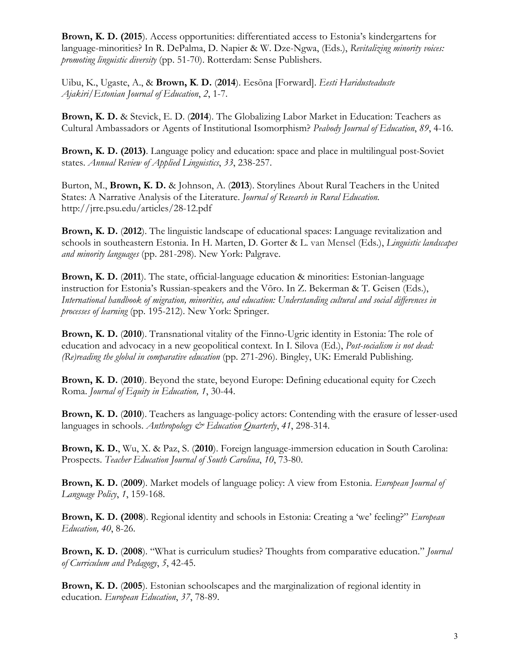**Brown, K. D. (2015**). Access opportunities: differentiated access to Estonia's kindergartens for language-minorities? In R. DePalma, D. Napier & W. Dze-Ngwa, (Eds.), *Revitalizing minority voices: promoting linguistic diversity* (pp. 51-70). Rotterdam: Sense Publishers.

Uibu, K., Ugaste, A., & **Brown, K**. **D.** (**2014**). Eesõna [Forward]. *Eesti Haridusteaduste Ajakiri/Estonian Journal of Education*, *2*, 1-7.

**Brown, K. D.** & Stevick, E. D. (**2014**). The Globalizing Labor Market in Education: Teachers as Cultural Ambassadors or Agents of Institutional Isomorphism? *Peabody Journal of Education*, *89*, 4-16.

**Brown, K. D. (2013)**. Language policy and education: space and place in multilingual post-Soviet states. *Annual Review of Applied Linguistics*, *33*, 238-257.

Burton, M., **Brown, K. D.** & Johnson, A. (**2013**). Storylines About Rural Teachers in the United States: A Narrative Analysis of the Literature. *Journal of Research in Rural Education.* http://jrre.psu.edu/articles/28-12.pdf

**Brown, K. D.** (**2012**). The linguistic landscape of educational spaces: Language revitalization and schools in southeastern Estonia. In H. Marten, D. Gorter & L. van Mensel (Eds.), *Linguistic landscapes and minority languages* (pp. 281-298)*.* New York: Palgrave.

**Brown, K. D.** (**2011**). The state, official-language education & minorities: Estonian-language instruction for Estonia's Russian-speakers and the Võro. In Z. Bekerman & T. Geisen (Eds.), *International handbook of migration, minorities, and education: Understanding cultural and social differences in processes of learning* (pp. 195-212). New York: Springer.

**Brown, K. D.** (**2010**). Transnational vitality of the Finno-Ugric identity in Estonia: The role of education and advocacy in a new geopolitical context. In I. Silova (Ed.), *Post-socialism is not dead: (Re)reading the global in comparative education* (pp. 271-296). Bingley, UK: Emerald Publishing.

**Brown, K. D.** (**2010**). Beyond the state, beyond Europe: Defining educational equity for Czech Roma. *Journal of Equity in Education, 1*, 30-44.

**Brown, K. D.** (**2010**). Teachers as language-policy actors: Contending with the erasure of lesser-used languages in schools. *Anthropology & Education Quarterly*, *41*, 298-314.

**Brown, K. D.**, Wu, X. & Paz, S. (**2010**). Foreign language-immersion education in South Carolina: Prospects. *Teacher Education Journal of South Carolina*, *10*, 73-80.

**Brown, K. D.** (**2009**). Market models of language policy: A view from Estonia. *European Journal of Language Policy*, *1*, 159-168.

**Brown, K. D. (2008**). Regional identity and schools in Estonia: Creating a 'we' feeling?" *European Education, 40*, 8-26.

**Brown, K. D.** (**2008**). "What is curriculum studies? Thoughts from comparative education." *Journal of Curriculum and Pedagogy*, *5*, 42-45.

**Brown, K. D.** (**2005**). Estonian schoolscapes and the marginalization of regional identity in education. *European Education*, *37*, 78-89.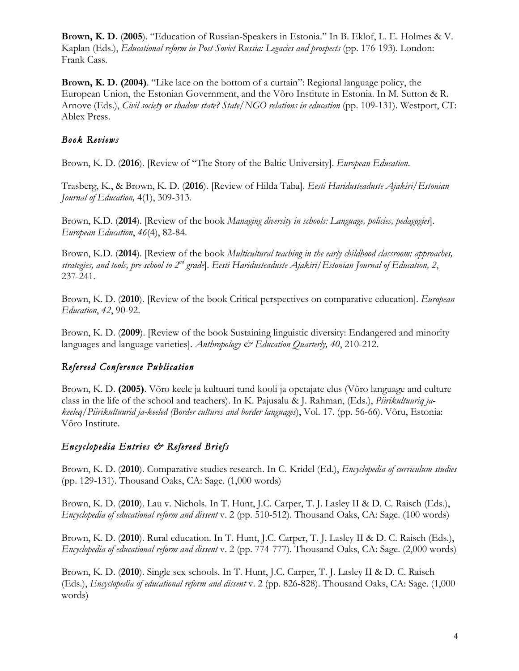**Brown, K. D.** (**2005**). "Education of Russian-Speakers in Estonia." In B. Eklof, L. E. Holmes & V. Kaplan (Eds.), *Educational reform in Post-Soviet Russia: Legacies and prospects* (pp. 176-193). London: Frank Cass.

**Brown, K. D. (2004)**. "Like lace on the bottom of a curtain": Regional language policy, the European Union, the Estonian Government, and the Võro Institute in Estonia. In M. Sutton & R. Arnove (Eds.), *Civil society or shadow state? State/NGO relations in education* (pp. 109-131). Westport, CT: Ablex Press.

# *Book Reviews*

Brown, K. D. (**2016**). [Review of "The Story of the Baltic University]. *European Education*.

Trasberg, K., & Brown, K. D. (**2016**). [Review of Hilda Taba]. *Eesti Haridusteaduste Ajakiri/Estonian Journal of Education,* 4(1), 309-313.

Brown, K.D. (**2014**). [Review of the book *Managing diversity in schools: Language, policies, pedagogies*]. *European Education*, *46*(4), 82-84.

Brown, K.D. (**2014**). [Review of the book *Multicultural teaching in the early childhood classroom: approaches, strategies, and tools, pre-school to 2nd grade*]. *Eesti Haridusteaduste Ajakiri/Estonian Journal of Education, 2*, 237-241.

Brown, K. D. (**2010**). [Review of the book Critical perspectives on comparative education]. *European Education*, *42*, 90-92.

Brown, K. D. (**2009**). [Review of the book Sustaining linguistic diversity: Endangered and minority languages and language varieties]. *Anthropology & Education Quarterly, 40*, 210-212.

# *Refereed Conference Publication*

Brown, K. D. **(2005)**. Võro keele ja kultuuri tund kooli ja opetajate elus (Võro language and culture class in the life of the school and teachers). In K. Pajusalu & J. Rahman, (Eds.), *Piirikultuuriq jakeeleq/Piirikultuurid ja-keeled (Border cultures and border languages*), Vol. 17. (pp. 56-66). Võru, Estonia: Võro Institute.

# *Encyclopedia Entries & Refereed Briefs*

Brown, K. D. (**2010**). Comparative studies research. In C. Kridel (Ed.), *Encyclopedia of curriculum studies* (pp. 129-131). Thousand Oaks, CA: Sage. (1,000 words)

Brown, K. D. (**2010**). Lau v. Nichols. In T. Hunt, J.C. Carper, T. J. Lasley II & D. C. Raisch (Eds.), *Encyclopedia of educational reform and dissent* v. 2 (pp. 510-512). Thousand Oaks, CA: Sage. (100 words)

Brown, K. D. (**2010**). Rural education. In T. Hunt, J.C. Carper, T. J. Lasley II & D. C. Raisch (Eds.), *Encyclopedia of educational reform and dissent* v. 2 (pp. 774-777). Thousand Oaks, CA: Sage. (2,000 words)

Brown, K. D. (**2010**). Single sex schools. In T. Hunt, J.C. Carper, T. J. Lasley II & D. C. Raisch (Eds.), *Encyclopedia of educational reform and dissent* v. 2 (pp. 826-828). Thousand Oaks, CA: Sage. (1,000 words)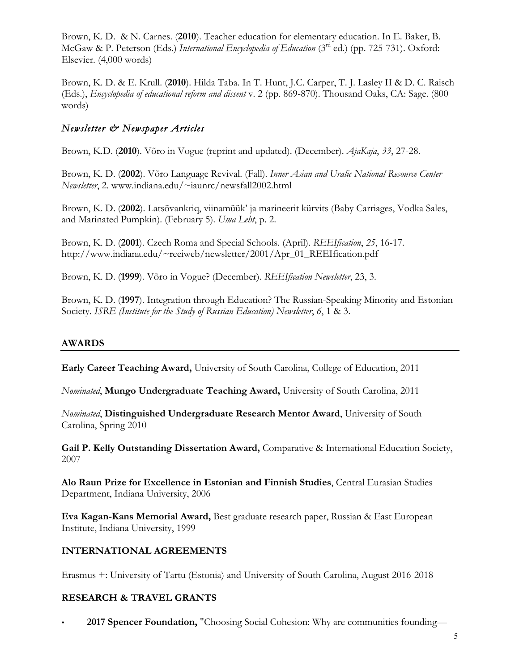Brown, K. D. & N. Carnes. (**2010**). Teacher education for elementary education. In E. Baker, B. McGaw & P. Peterson (Eds.) *International Encyclopedia of Education* (3rd ed.) (pp. 725-731). Oxford: Elsevier. (4,000 words)

Brown, K. D. & E. Krull. (**2010**). Hilda Taba. In T. Hunt, J.C. Carper, T. J. Lasley II & D. C. Raisch (Eds.), *Encyclopedia of educational reform and dissent* v. 2 (pp. 869-870). Thousand Oaks, CA: Sage. (800 words)

# *Newsletter & Newspaper Articles*

Brown, K.D. (**2010**). Võro in Vogue (reprint and updated). (December). *AjaKaja*, *33*, 27-28.

Brown, K. D. (**2002**). Võro Language Revival. (Fall). *Inner Asian and Uralic National Resource Center Newsletter*, 2. www.indiana.edu/~iaunrc/newsfall2002.html

Brown, K. D. (**2002**). Latsõvankriq, viinamüük' ja marineerit kürvits (Baby Carriages, Vodka Sales, and Marinated Pumpkin). (February 5). *Uma Leht*, p. 2.

Brown, K. D. (**2001**). Czech Roma and Special Schools. (April). *REEIfication*, *25*, 16-17. http://www.indiana.edu/~reeiweb/newsletter/2001/Apr\_01\_REEIfication.pdf

Brown, K. D. (**1999**). Võro in Vogue? (December). *REEIfication Newsletter*, 23, 3.

Brown, K. D. (**1997**). Integration through Education? The Russian-Speaking Minority and Estonian Society. *ISRE (Institute for the Study of Russian Education) Newsletter*, *6*, 1 & 3.

## **AWARDS**

**Early Career Teaching Award,** University of South Carolina, College of Education, 2011

*Nominated*, **Mungo Undergraduate Teaching Award,** University of South Carolina, 2011

*Nominated*, **Distinguished Undergraduate Research Mentor Award**, University of South Carolina, Spring 2010

**Gail P. Kelly Outstanding Dissertation Award,** Comparative & International Education Society, 2007

**Alo Raun Prize for Excellence in Estonian and Finnish Studies**, Central Eurasian Studies Department, Indiana University, 2006

**Eva Kagan-Kans Memorial Award,** Best graduate research paper, Russian & East European Institute, Indiana University, 1999

## **INTERNATIONAL AGREEMENTS**

Erasmus +: University of Tartu (Estonia) and University of South Carolina, August 2016-2018

## **RESEARCH & TRAVEL GRANTS**

• **2017 Spencer Foundation,** "Choosing Social Cohesion: Why are communities founding—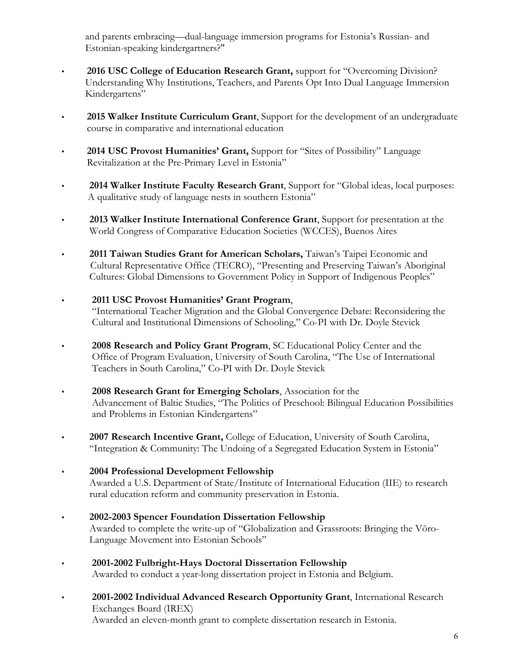and parents embracing—dual-language immersion programs for Estonia's Russian- and Estonian-speaking kindergartners?"

- • **2016 USC College of Education Research Grant,** support for "Overcoming Division? Understanding Why Institutions, Teachers, and Parents Opt Into Dual Language Immersion Kindergartens"
- • **2015 Walker Institute Curriculum Grant**, Support for the development of an undergraduate course in comparative and international education
- • **2014 USC Provost Humanities' Grant,** Support for "Sites of Possibility" Language Revitalization at the Pre-Primary Level in Estonia"
- • **2014 Walker Institute Faculty Research Grant**, Support for "Global ideas, local purposes: A qualitative study of language nests in southern Estonia"
- **2013 Walker Institute International Conference Grant**, Support for presentation at the World Congress of Comparative Education Societies (WCCES), Buenos Aires
- • **2011 Taiwan Studies Grant for American Scholars,** Taiwan's Taipei Economic and Cultural Representative Office (TECRO), "Presenting and Preserving Taiwan's Aboriginal Cultures: Global Dimensions to Government Policy in Support of Indigenous Peoples"
- • **2011 USC Provost Humanities' Grant Program**, "International Teacher Migration and the Global Convergence Debate: Reconsidering the Cultural and Institutional Dimensions of Schooling," Co-PI with Dr. Doyle Stevick
- • **2008 Research and Policy Grant Program**, SC Educational Policy Center and the Office of Program Evaluation, University of South Carolina, "The Use of International Teachers in South Carolina," Co-PI with Dr. Doyle Stevick
- • **2008 Research Grant for Emerging Scholars**, Association for the Advancement of Baltic Studies, "The Politics of Preschool: Bilingual Education Possibilities and Problems in Estonian Kindergartens"
- • **2007 Research Incentive Grant,** College of Education, University of South Carolina, "Integration & Community: The Undoing of a Segregated Education System in Estonia"
- • **2004 Professional Development Fellowship** Awarded a U.S. Department of State/Institute of International Education (IIE) to research rural education reform and community preservation in Estonia.
- • **2002-2003 Spencer Foundation Dissertation Fellowship** Awarded to complete the write-up of "Globalization and Grassroots: Bringing the Võro- Language Movement into Estonian Schools"
- **2001-2002 Fulbright-Hays Doctoral Dissertation Fellowship** Awarded to conduct a year-long dissertation project in Estonia and Belgium.
- **2001-2002 Individual Advanced Research Opportunity Grant**, International Research Exchanges Board (IREX) Awarded an eleven-month grant to complete dissertation research in Estonia.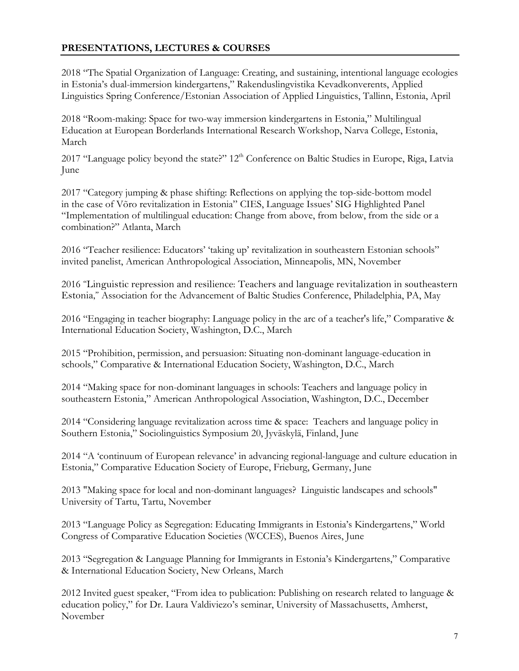## **PRESENTATIONS, LECTURES & COURSES**

2018 "The Spatial Organization of Language: Creating, and sustaining, intentional language ecologies in Estonia's dual-immersion kindergartens," Rakenduslingvistika Kevadkonverents, Applied Linguistics Spring Conference/Estonian Association of Applied Linguistics, Tallinn, Estonia, April

2018 "Room-making: Space for two-way immersion kindergartens in Estonia," Multilingual Education at European Borderlands International Research Workshop, Narva College, Estonia, March

2017 "Language policy beyond the state?" 12<sup>th</sup> Conference on Baltic Studies in Europe, Riga, Latvia June

2017 "Category jumping & phase shifting: Reflections on applying the top-side-bottom model in the case of Võro revitalization in Estonia" CIES, Language Issues' SIG Highlighted Panel "Implementation of multilingual education: Change from above, from below, from the side or a combination?" Atlanta, March

2016 "Teacher resilience: Educators' 'taking up' revitalization in southeastern Estonian schools" invited panelist, American Anthropological Association, Minneapolis, MN, November

2016 "Linguistic repression and resilience: Teachers and language revitalization in southeastern Estonia," Association for the Advancement of Baltic Studies Conference, Philadelphia, PA, May

2016 "Engaging in teacher biography: Language policy in the arc of a teacher's life," Comparative & International Education Society, Washington, D.C., March

2015 "Prohibition, permission, and persuasion: Situating non-dominant language-education in schools," Comparative & International Education Society, Washington, D.C., March

2014 "Making space for non-dominant languages in schools: Teachers and language policy in southeastern Estonia," American Anthropological Association, Washington, D.C., December

2014 "Considering language revitalization across time & space: Teachers and language policy in Southern Estonia," Sociolinguistics Symposium 20, Jyväskylä, Finland, June

2014 "A 'continuum of European relevance' in advancing regional-language and culture education in Estonia," Comparative Education Society of Europe, Frieburg, Germany, June

2013 "Making space for local and non-dominant languages? Linguistic landscapes and schools" University of Tartu, Tartu, November

2013 "Language Policy as Segregation: Educating Immigrants in Estonia's Kindergartens," World Congress of Comparative Education Societies (WCCES), Buenos Aires, June

2013 "Segregation & Language Planning for Immigrants in Estonia's Kindergartens," Comparative & International Education Society, New Orleans, March

2012 Invited guest speaker, "From idea to publication: Publishing on research related to language & education policy," for Dr. Laura Valdiviezo's seminar, University of Massachusetts, Amherst, November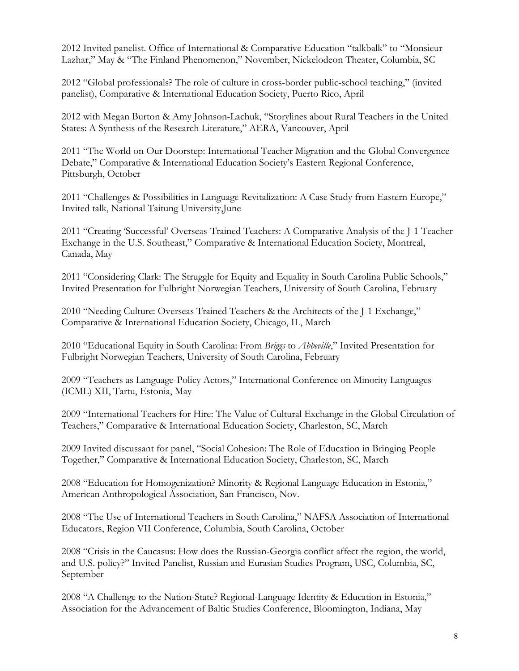2012 Invited panelist. Office of International & Comparative Education "talkbalk" to "Monsieur Lazhar," May & "The Finland Phenomenon," November, Nickelodeon Theater, Columbia, SC

2012 "Global professionals? The role of culture in cross-border public-school teaching," (invited panelist), Comparative & International Education Society, Puerto Rico, April

2012 with Megan Burton & Amy Johnson-Lachuk, "Storylines about Rural Teachers in the United States: A Synthesis of the Research Literature," AERA, Vancouver, April

2011 "The World on Our Doorstep: International Teacher Migration and the Global Convergence Debate," Comparative & International Education Society's Eastern Regional Conference, Pittsburgh, October

2011 "Challenges & Possibilities in Language Revitalization: A Case Study from Eastern Europe," Invited talk, National Taitung University,June

2011 "Creating 'Successful' Overseas-Trained Teachers: A Comparative Analysis of the J-1 Teacher Exchange in the U.S. Southeast," Comparative & International Education Society, Montreal, Canada, May

2011 "Considering Clark: The Struggle for Equity and Equality in South Carolina Public Schools," Invited Presentation for Fulbright Norwegian Teachers, University of South Carolina, February

2010 "Needing Culture: Overseas Trained Teachers & the Architects of the J-1 Exchange," Comparative & International Education Society, Chicago, IL, March

2010 "Educational Equity in South Carolina: From *Briggs* to *Abbeville*," Invited Presentation for Fulbright Norwegian Teachers, University of South Carolina, February

2009 "Teachers as Language-Policy Actors," International Conference on Minority Languages (ICML) XII, Tartu, Estonia, May

2009 "International Teachers for Hire: The Value of Cultural Exchange in the Global Circulation of Teachers," Comparative & International Education Society, Charleston, SC, March

2009 Invited discussant for panel, "Social Cohesion: The Role of Education in Bringing People Together," Comparative & International Education Society, Charleston, SC, March

2008 "Education for Homogenization? Minority & Regional Language Education in Estonia," American Anthropological Association, San Francisco, Nov.

2008 "The Use of International Teachers in South Carolina," NAFSA Association of International Educators, Region VII Conference, Columbia, South Carolina, October

2008 "Crisis in the Caucasus: How does the Russian-Georgia conflict affect the region, the world, and U.S. policy?" Invited Panelist, Russian and Eurasian Studies Program, USC, Columbia, SC, September

2008 "A Challenge to the Nation-State? Regional-Language Identity & Education in Estonia," Association for the Advancement of Baltic Studies Conference, Bloomington, Indiana, May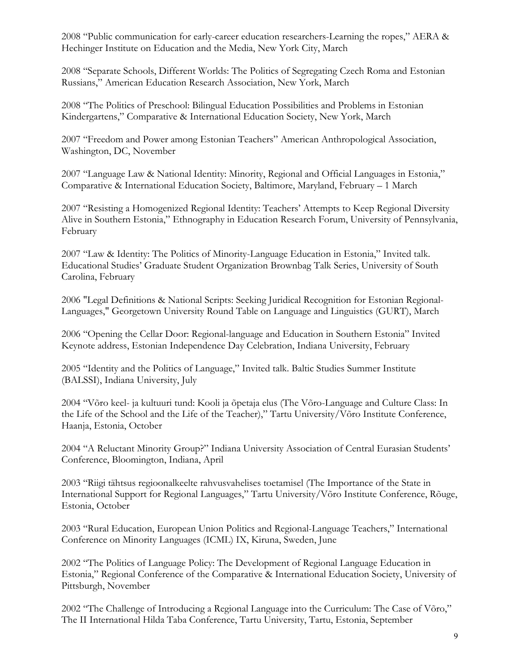2008 "Public communication for early-career education researchers-Learning the ropes," AERA & Hechinger Institute on Education and the Media, New York City, March

2008 "Separate Schools, Different Worlds: The Politics of Segregating Czech Roma and Estonian Russians," American Education Research Association, New York, March

2008 "The Politics of Preschool: Bilingual Education Possibilities and Problems in Estonian Kindergartens," Comparative & International Education Society, New York, March

2007 "Freedom and Power among Estonian Teachers" American Anthropological Association, Washington, DC, November

2007 "Language Law & National Identity: Minority, Regional and Official Languages in Estonia," Comparative & International Education Society, Baltimore, Maryland, February – 1 March

2007 "Resisting a Homogenized Regional Identity: Teachers' Attempts to Keep Regional Diversity Alive in Southern Estonia," Ethnography in Education Research Forum, University of Pennsylvania, February

2007 "Law & Identity: The Politics of Minority-Language Education in Estonia," Invited talk. Educational Studies' Graduate Student Organization Brownbag Talk Series, University of South Carolina, February

2006 "Legal Definitions & National Scripts: Seeking Juridical Recognition for Estonian Regional-Languages," Georgetown University Round Table on Language and Linguistics (GURT), March

2006 "Opening the Cellar Door: Regional-language and Education in Southern Estonia" Invited Keynote address, Estonian Independence Day Celebration, Indiana University, February

2005 "Identity and the Politics of Language," Invited talk. Baltic Studies Summer Institute (BALSSI), Indiana University, July

2004 "Võro keel- ja kultuuri tund: Kooli ja õpetaja elus (The Võro-Language and Culture Class: In the Life of the School and the Life of the Teacher)," Tartu University/Võro Institute Conference, Haanja, Estonia, October

2004 "A Reluctant Minority Group?" Indiana University Association of Central Eurasian Students' Conference, Bloomington, Indiana, April

2003 "Riigi tähtsus regioonalkeelte rahvusvahelises toetamisel (The Importance of the State in International Support for Regional Languages," Tartu University/Võro Institute Conference, Rõuge, Estonia, October

2003 "Rural Education, European Union Politics and Regional-Language Teachers," International Conference on Minority Languages (ICML) IX, Kiruna, Sweden, June

2002 "The Politics of Language Policy: The Development of Regional Language Education in Estonia," Regional Conference of the Comparative & International Education Society, University of Pittsburgh, November

2002 "The Challenge of Introducing a Regional Language into the Curriculum: The Case of Võro," The II International Hilda Taba Conference, Tartu University, Tartu, Estonia, September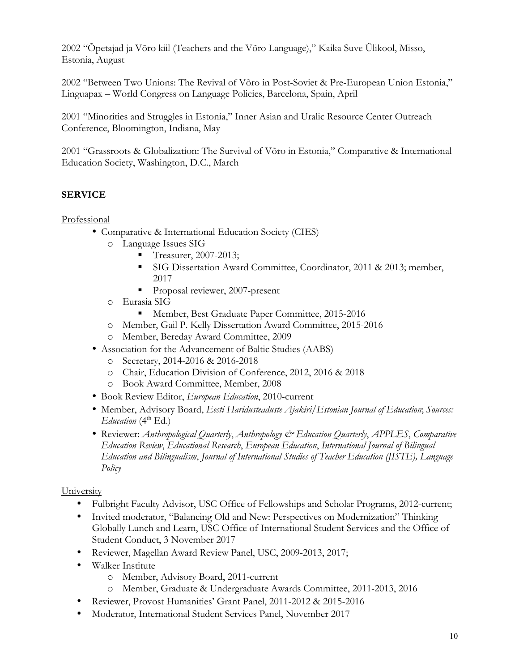2002 "Õpetajad ja Võro kiil (Teachers and the Võro Language)," Kaika Suve Ülikool, Misso, Estonia, August

2002 "Between Two Unions: The Revival of Võro in Post-Soviet & Pre-European Union Estonia," Linguapax – World Congress on Language Policies, Barcelona, Spain, April

2001 "Minorities and Struggles in Estonia," Inner Asian and Uralic Resource Center Outreach Conference, Bloomington, Indiana, May

2001 "Grassroots & Globalization: The Survival of Võro in Estonia," Comparative & International Education Society, Washington, D.C., March

### **SERVICE**

#### Professional

- Comparative & International Education Society (CIES)
	- o Language Issues SIG
		- § Treasurer, 2007-2013;
		- § SIG Dissertation Award Committee, Coordinator, 2011 & 2013; member, 2017
		- Proposal reviewer, 2007-present
	- o Eurasia SIG
		- Member, Best Graduate Paper Committee, 2015-2016
	- o Member, Gail P. Kelly Dissertation Award Committee, 2015-2016
	- o Member, Bereday Award Committee, 2009
- Association for the Advancement of Baltic Studies (AABS)
	- o Secretary, 2014-2016 & 2016-2018
	- o Chair, Education Division of Conference, 2012, 2016 & 2018
	- o Book Award Committee, Member, 2008
- Book Review Editor, *European Education*, 2010-current
- Member, Advisory Board, *Eesti Haridusteaduste Ajakiri*/*Estonian Journal of Education*; *Sources: Education* (4<sup>th</sup> Ed.)
- Reviewer: *Anthropological Quarterly*, *Anthropology & Education Quarterly*, *APPLES*, *Comparative Education Review*, *Educational Research*, *European Education*, *International Journal of Bilingual Education and Bilingualism*, *Journal of International Studies of Teacher Education (JISTE), Language Policy*

#### University

- Fulbright Faculty Advisor, USC Office of Fellowships and Scholar Programs, 2012-current;
- Invited moderator, "Balancing Old and New: Perspectives on Modernization" Thinking Globally Lunch and Learn, USC Office of International Student Services and the Office of Student Conduct, 3 November 2017
- Reviewer, Magellan Award Review Panel, USC, 2009-2013, 2017;
- Walker Institute
	- o Member, Advisory Board, 2011-current
	- o Member, Graduate & Undergraduate Awards Committee, 2011-2013, 2016
- Reviewer, Provost Humanities' Grant Panel, 2011-2012 & 2015-2016
- Moderator, International Student Services Panel, November 2017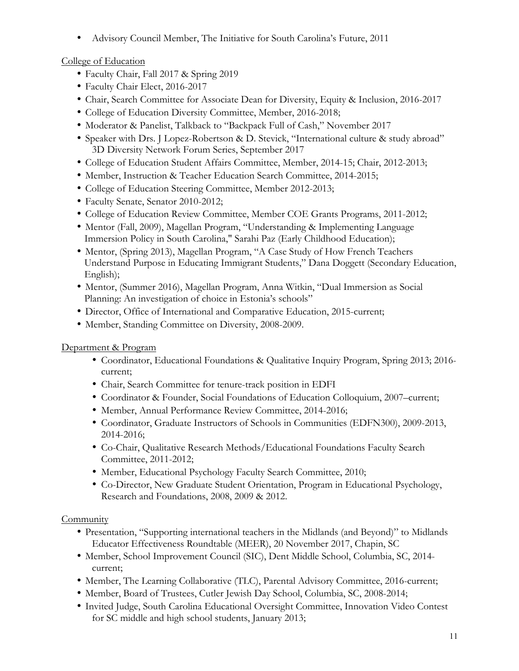• Advisory Council Member, The Initiative for South Carolina's Future, 2011

# College of Education

- Faculty Chair, Fall 2017 & Spring 2019
- Faculty Chair Elect, 2016-2017
- Chair, Search Committee for Associate Dean for Diversity, Equity & Inclusion, 2016-2017
- College of Education Diversity Committee, Member, 2016-2018;
- Moderator & Panelist, Talkback to "Backpack Full of Cash," November 2017
- Speaker with Drs. J Lopez-Robertson & D. Stevick, "International culture & study abroad" 3D Diversity Network Forum Series, September 2017
- College of Education Student Affairs Committee, Member, 2014-15; Chair, 2012-2013;
- Member, Instruction & Teacher Education Search Committee, 2014-2015;
- College of Education Steering Committee, Member 2012-2013;
- Faculty Senate, Senator 2010-2012;
- College of Education Review Committee, Member COE Grants Programs, 2011-2012;
- Mentor (Fall, 2009), Magellan Program, "Understanding & Implementing Language Immersion Policy in South Carolina," Sarahi Paz (Early Childhood Education);
- Mentor, (Spring 2013), Magellan Program, "A Case Study of How French Teachers Understand Purpose in Educating Immigrant Students," Dana Doggett (Secondary Education, English);
- Mentor, (Summer 2016), Magellan Program, Anna Witkin, "Dual Immersion as Social Planning: An investigation of choice in Estonia's schools"
- Director, Office of International and Comparative Education, 2015-current;
- Member, Standing Committee on Diversity, 2008-2009.

## Department & Program

- Coordinator, Educational Foundations & Qualitative Inquiry Program, Spring 2013; 2016 current;
- Chair, Search Committee for tenure-track position in EDFI
- Coordinator & Founder, Social Foundations of Education Colloquium, 2007–current;
- Member, Annual Performance Review Committee, 2014-2016;
- Coordinator, Graduate Instructors of Schools in Communities (EDFN300), 2009-2013, 2014-2016;
- Co-Chair, Qualitative Research Methods/Educational Foundations Faculty Search Committee, 2011-2012;
- Member, Educational Psychology Faculty Search Committee, 2010;
- Co-Director, New Graduate Student Orientation, Program in Educational Psychology, Research and Foundations, 2008, 2009 & 2012.

## **Community**

- Presentation, "Supporting international teachers in the Midlands (and Beyond)" to Midlands Educator Effectiveness Roundtable (MEER), 20 November 2017, Chapin, SC
- Member, School Improvement Council (SIC), Dent Middle School, Columbia, SC, 2014 current;
- Member, The Learning Collaborative (TLC), Parental Advisory Committee, 2016-current;
- Member, Board of Trustees, Cutler Jewish Day School, Columbia, SC, 2008-2014;
- Invited Judge, South Carolina Educational Oversight Committee, Innovation Video Contest for SC middle and high school students, January 2013;